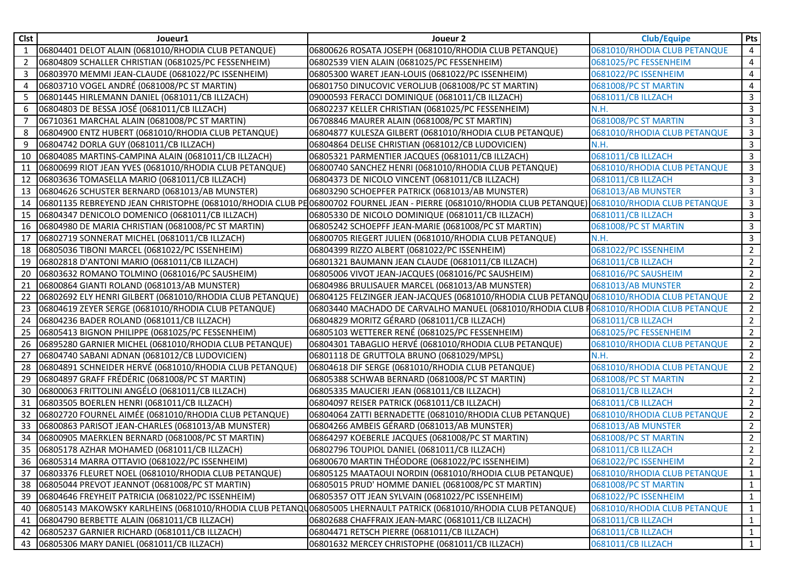| Clst           | Joueur1                                                                                                           | Joueur 2                                                                                                                                             | <b>Club/Equipe</b>           | Pts            |
|----------------|-------------------------------------------------------------------------------------------------------------------|------------------------------------------------------------------------------------------------------------------------------------------------------|------------------------------|----------------|
| 1              | 06804401 DELOT ALAIN (0681010/RHODIA CLUB PETANQUE)                                                               | 06800626 ROSATA JOSEPH (0681010/RHODIA CLUB PETANQUE)                                                                                                | 0681010/RHODIA CLUB PETANQUE | 4              |
| $\overline{2}$ | 06804809 SCHALLER CHRISTIAN (0681025/PC FESSENHEIM)                                                               | 06802539 VIEN ALAIN (0681025/PC FESSENHEIM)                                                                                                          | 0681025/PC FESSENHEIM        | 4              |
| 3              | 06803970 MEMMI JEAN-CLAUDE (0681022/PC ISSENHEIM)                                                                 | 06805300 WARET JEAN-LOUIS (0681022/PC ISSENHEIM)                                                                                                     | 0681022/PC ISSENHEIM         | 4              |
| 4              | 06803710 VOGEL ANDRÉ (0681008/PC ST MARTIN)                                                                       | 06801750 DINUCOVIC VEROLJUB (0681008/PC ST MARTIN)                                                                                                   | 0681008/PC ST MARTIN         | 4              |
| 5              | 06801445 HIRLEMANN DANIEL (0681011/CB ILLZACH)                                                                    | 09000593 FERACCI DOMINIQUE (0681011/CB ILLZACH)                                                                                                      | 0681011/CB ILLZACH           | 3              |
| 6              | 06804803 DE BESSA JOSÉ (0681011/CB ILLZACH)                                                                       | 06802237 KELLER CHRISTIAN (0681025/PC FESSENHEIM)                                                                                                    | N.H.                         | $\mathbf{3}$   |
|                | 06710361 MARCHAL ALAIN (0681008/PC ST MARTIN)                                                                     | 06708846 MAURER ALAIN (0681008/PC ST MARTIN)                                                                                                         | 0681008/PC ST MARTIN         | 3              |
| 8              | 06804900 ENTZ HUBERT (0681010/RHODIA CLUB PETANQUE)                                                               | 06804877 KULESZA GILBERT (0681010/RHODIA CLUB PETANQUE)                                                                                              | 0681010/RHODIA CLUB PETANQUE | 3              |
| 9              | 06804742 DORLA GUY (0681011/CB ILLZACH)                                                                           | 06804864 DELISE CHRISTIAN (0681012/CB LUDOVICIEN)                                                                                                    | N.H.                         | 3              |
| 10             | 06804085 MARTINS-CAMPINA ALAIN (0681011/CB ILLZACH)                                                               | 06805321 PARMENTIER JACQUES (0681011/CB ILLZACH)                                                                                                     | 0681011/CB ILLZACH           | 3              |
| 11             | 06800699 RIOT JEAN YVES (0681010/RHODIA CLUB PETANQUE)                                                            | 06800740 SANCHEZ HENRI (0681010/RHODIA CLUB PETANQUE)                                                                                                | 0681010/RHODIA CLUB PETANQUE | 3              |
| 12             | 06803636 TOMASELLA MARIO (0681011/CB ILLZACH)                                                                     | 06804373 DE NICOLO VINCENT (0681011/CB ILLZACH)                                                                                                      | 0681011/CB ILLZACH           | 3              |
| 13             | 06804626 SCHUSTER BERNARD (0681013/AB MUNSTER)                                                                    | 06803290 SCHOEPFER PATRICK (0681013/AB MUNSTER)                                                                                                      | 0681013/AB MUNSTER           | $\mathbf{3}$   |
| 14             |                                                                                                                   | O6801135 REBREYEND JEAN CHRISTOPHE (0681010/RHODIA CLUB PEO6800702 FOURNEL JEAN - PIERRE (0681010/RHODIA CLUB PETANQUE) O681010/RHODIA CLUB PETANQUE |                              | 3              |
| 15             | 06804347 DENICOLO DOMENICO (0681011/CB ILLZACH)                                                                   | 06805330 DE NICOLO DOMINIQUE (0681011/CB ILLZACH)                                                                                                    | 0681011/CB ILLZACH           | 3              |
| 16             | 06804980 DE MARIA CHRISTIAN (0681008/PC ST MARTIN)                                                                | 06805242 SCHOEPFF JEAN-MARIE (0681008/PC ST MARTIN)                                                                                                  | 0681008/PC ST MARTIN         | 3              |
| 17             | 06802719 SONNERAT MICHEL (0681011/CB ILLZACH)                                                                     | 06800705 RIEGERT JULIEN (0681010/RHODIA CLUB PETANQUE)                                                                                               | N.H.                         | $\mathbf{3}$   |
| 18             | 06805036 TIBONI MARCEL (0681022/PC ISSENHEIM)                                                                     | 06804399 RIZZO ALBERT (0681022/PC ISSENHEIM)                                                                                                         | 0681022/PC ISSENHEIM         | $\mathbf{2}$   |
| 19             | 06802818 D'ANTONI MARIO (0681011/CB ILLZACH)                                                                      | 06801321 BAUMANN JEAN CLAUDE (0681011/CB ILLZACH)                                                                                                    | 0681011/CB ILLZACH           | $\overline{2}$ |
| 20             | 06803632 ROMANO TOLMINO (0681016/PC SAUSHEIM)                                                                     | 06805006 VIVOT JEAN-JACQUES (0681016/PC SAUSHEIM)                                                                                                    | 0681016/PC SAUSHEIM          | $\overline{2}$ |
| 21             | 06800864 GIANTI ROLAND (0681013/AB MUNSTER)                                                                       | 06804986 BRULISAUER MARCEL (0681013/AB MUNSTER)                                                                                                      | 0681013/AB MUNSTER           | $\overline{2}$ |
| 22             | 06802692 ELY HENRI GILBERT (0681010/RHODIA CLUB PETANQUE)                                                         | 06804125 FELZINGER JEAN-JACQUES (0681010/RHODIA CLUB PETANQU 0681010/RHODIA CLUB PETANQUE                                                            |                              | $\overline{2}$ |
| 23             | 06804619 ZEYER SERGE (0681010/RHODIA CLUB PETANQUE)                                                               | 06803440 MACHADO DE CARVALHO MANUEL (0681010/RHODIA CLUB F0681010/RHODIA CLUB PETANQUE                                                               |                              | $\overline{2}$ |
| 24             | 06804236 BADER ROLAND (0681011/CB ILLZACH)                                                                        | 06804829 MORITZ GÉRARD (0681011/CB ILLZACH)                                                                                                          | 0681011/CB ILLZACH           | $2^{\circ}$    |
| 25             | 06805413 BIGNON PHILIPPE (0681025/PC FESSENHEIM)                                                                  | 06805103 WETTERER RENÉ (0681025/PC FESSENHEIM)                                                                                                       | 0681025/PC FESSENHEIM        | $\overline{2}$ |
| 26             | 06895280 GARNIER MICHEL (0681010/RHODIA CLUB PETANQUE)                                                            | 06804301 TABAGLIO HERVÉ (0681010/RHODIA CLUB PETANQUE)                                                                                               | 0681010/RHODIA CLUB PETANQUE | $\overline{2}$ |
| 27             | 06804740 SABANI ADNAN (0681012/CB LUDOVICIEN)                                                                     | 06801118 DE GRUTTOLA BRUNO (0681029/MPSL)                                                                                                            | N.H.                         | $\overline{2}$ |
| 28             | 06804891 SCHNEIDER HERVÉ (0681010/RHODIA CLUB PETANQUE)                                                           | 06804618 DIF SERGE (0681010/RHODIA CLUB PETANQUE)                                                                                                    | 0681010/RHODIA CLUB PETANQUE | $\overline{2}$ |
| 29             | 06804897 GRAFF FRÉDÉRIC (0681008/PC ST MARTIN)                                                                    | 06805388 SCHWAB BERNARD (0681008/PC ST MARTIN)                                                                                                       | 0681008/PC ST MARTIN         | $2^{\circ}$    |
| 30             | 06800063 FRITTOLINI ANGÉLO (0681011/CB ILLZACH)                                                                   | 06805335 MAUCIERI JEAN (0681011/CB ILLZACH)                                                                                                          | 0681011/CB ILLZACH           | $2^{\circ}$    |
| 31             | 06803505 BOERLEN HENRI (0681011/CB ILLZACH)                                                                       | 06804097 REISER PATRICK (0681011/CB ILLZACH)                                                                                                         | 0681011/CB ILLZACH           | $\overline{2}$ |
| 32             | 06802720 FOURNEL AIMÉE (0681010/RHODIA CLUB PETANQUE)                                                             | 06804064 ZATTI BERNADETTE (0681010/RHODIA CLUB PETANQUE)                                                                                             | 0681010/RHODIA CLUB PETANQUE | $\overline{2}$ |
| 33             | 06800863 PARISOT JEAN-CHARLES (0681013/AB MUNSTER)                                                                | 06804266 AMBEIS GÉRARD (0681013/AB MUNSTER)                                                                                                          | 0681013/AB MUNSTER           | $\overline{2}$ |
| 34             | 06800905 MAERKLEN BERNARD (0681008/PC ST MARTIN)                                                                  | 06864297 KOEBERLE JACQUES (0681008/PC ST MARTIN)                                                                                                     | 0681008/PC ST MARTIN         | $\overline{2}$ |
| 35             | 06805178 AZHAR MOHAMED (0681011/CB ILLZACH)                                                                       | 06802796 TOUPIOL DANIEL (0681011/CB ILLZACH)                                                                                                         | 0681011/CB ILLZACH           | $\overline{2}$ |
|                | 36 06805314 MARRA OTTAVIO (0681022/PC ISSENHEIM)                                                                  | 06800670 MARTIN THÉODORE (0681022/PC ISSENHEIM)                                                                                                      | 0681022/PC ISSENHEIM         | $\overline{2}$ |
|                | 37 06803376 FLEURET NOEL (0681010/RHODIA CLUB PETANQUE)                                                           | 06805125 MAATAOUI NORDIN (0681010/RHODIA CLUB PETANQUE)                                                                                              | 0681010/RHODIA CLUB PETANQUE | $\mathbf{1}$   |
|                | 38 06805044 PREVOT JEANNOT (0681008/PC ST MARTIN)                                                                 | 06805015 PRUD' HOMME DANIEL (0681008/PC ST MARTIN)                                                                                                   | 0681008/PC ST MARTIN         | $\mathbf{1}$   |
|                | 39 06804646 FREYHEIT PATRICIA (0681022/PC ISSENHEIM)                                                              | 06805357 OTT JEAN SYLVAIN (0681022/PC ISSENHEIM)                                                                                                     | 0681022/PC ISSENHEIM         | $\mathbf{1}$   |
| 40             | O6805143 MAKOWSKY KARLHEINS (0681010/RHODIA CLUB PETANQU06805005 LHERNAULT PATRICK (0681010/RHODIA CLUB PETANQUE) |                                                                                                                                                      | 0681010/RHODIA CLUB PETANQUE | $\mathbf{1}$   |
|                | 41 06804790 BERBETTE ALAIN (0681011/CB ILLZACH)                                                                   | 06802688 CHAFFRAIX JEAN-MARC (0681011/CB ILLZACH)                                                                                                    | 0681011/CB ILLZACH           | $\mathbf{1}$   |
| 42             | 06805237 GARNIER RICHARD (0681011/CB ILLZACH)                                                                     | 06804471 RETSCH PIERRE (0681011/CB ILLZACH)                                                                                                          | 0681011/CB ILLZACH           | $\mathbf{1}$   |
|                | 43 06805306 MARY DANIEL (0681011/CB ILLZACH)                                                                      | 06801632 MERCEY CHRISTOPHE (0681011/CB ILLZACH)                                                                                                      | 0681011/CB ILLZACH           | $\mathbf{1}$   |